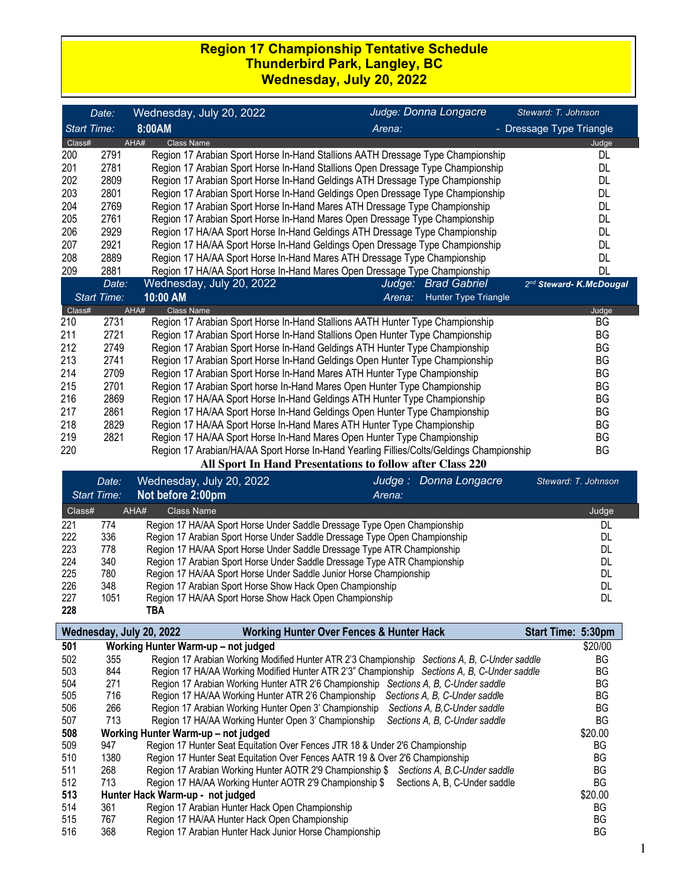### **Region 17 Championship Tentative Schedule Thunderbird Park, Langley, BC Wednesday, July 20, 2022**

|                                                           | Date:              | Wednesday, July 20, 2022                                                                 | Judge: Donna Longacre                 | Steward: T. Johnson      |  |
|-----------------------------------------------------------|--------------------|------------------------------------------------------------------------------------------|---------------------------------------|--------------------------|--|
| <b>Start Time:</b>                                        |                    | 8:00AM                                                                                   | Arena:                                | - Dressage Type Triangle |  |
| Class#                                                    |                    | AHA#<br><b>Class Name</b>                                                                |                                       | Judge                    |  |
| 200                                                       | 2791               | Region 17 Arabian Sport Horse In-Hand Stallions AATH Dressage Type Championship          |                                       | <b>DL</b>                |  |
| 201                                                       | 2781               | Region 17 Arabian Sport Horse In-Hand Stallions Open Dressage Type Championship          |                                       | DL                       |  |
| 202                                                       | 2809               | Region 17 Arabian Sport Horse In-Hand Geldings ATH Dressage Type Championship            |                                       | DL                       |  |
| 203                                                       | 2801               | Region 17 Arabian Sport Horse In-Hand Geldings Open Dressage Type Championship           |                                       | <b>DL</b>                |  |
| 204                                                       | 2769               | Region 17 Arabian Sport Horse In-Hand Mares ATH Dressage Type Championship               |                                       | DL                       |  |
| 205                                                       | 2761               | Region 17 Arabian Sport Horse In-Hand Mares Open Dressage Type Championship              |                                       | <b>DL</b>                |  |
| 206                                                       | 2929               | Region 17 HA/AA Sport Horse In-Hand Geldings ATH Dressage Type Championship              |                                       | <b>DL</b>                |  |
| 207                                                       | 2921               | Region 17 HA/AA Sport Horse In-Hand Geldings Open Dressage Type Championship             |                                       | DL                       |  |
| 208                                                       | 2889               | Region 17 HA/AA Sport Horse In-Hand Mares ATH Dressage Type Championship                 |                                       | DL                       |  |
| 209                                                       | 2881               | Region 17 HA/AA Sport Horse In-Hand Mares Open Dressage Type Championship                |                                       | DL                       |  |
|                                                           | Date:              | Wednesday, July 20, 2022                                                                 | <b>Brad Gabriel</b><br>Judge:         | 2nd Steward-K.McDougal   |  |
|                                                           | <b>Start Time:</b> | 10:00 AM                                                                                 | <b>Hunter Type Triangle</b><br>Arena: |                          |  |
| Class#                                                    |                    | <b>Class Name</b><br>AHA#                                                                |                                       | Judge                    |  |
| 210                                                       | 2731               | Region 17 Arabian Sport Horse In-Hand Stallions AATH Hunter Type Championship            |                                       | BG                       |  |
| 211                                                       | 2721               | Region 17 Arabian Sport Horse In-Hand Stallions Open Hunter Type Championship            |                                       | <b>BG</b>                |  |
| 212                                                       | 2749               | Region 17 Arabian Sport Horse In-Hand Geldings ATH Hunter Type Championship              |                                       | <b>BG</b>                |  |
| 213                                                       | 2741               | Region 17 Arabian Sport Horse In-Hand Geldings Open Hunter Type Championship             |                                       | <b>BG</b>                |  |
| 214                                                       | 2709               | Region 17 Arabian Sport Horse In-Hand Mares ATH Hunter Type Championship                 |                                       | <b>BG</b>                |  |
| 215                                                       | 2701               | Region 17 Arabian Sport horse In-Hand Mares Open Hunter Type Championship                |                                       | <b>BG</b>                |  |
| 216                                                       | 2869               | Region 17 HA/AA Sport Horse In-Hand Geldings ATH Hunter Type Championship                |                                       | BG                       |  |
| 217                                                       | 2861               | Region 17 HA/AA Sport Horse In-Hand Geldings Open Hunter Type Championship               |                                       | BG                       |  |
| 218                                                       | 2829               | Region 17 HA/AA Sport Horse In-Hand Mares ATH Hunter Type Championship                   |                                       | BG                       |  |
| 219                                                       | 2821               | Region 17 HA/AA Sport Horse In-Hand Mares Open Hunter Type Championship                  |                                       | <b>BG</b>                |  |
| 220                                                       |                    | Region 17 Arabian/HA/AA Sport Horse In-Hand Yearling Fillies/Colts/Geldings Championship |                                       | BG                       |  |
| All Sport In Hand Presentations to follow after Class 220 |                    |                                                                                          |                                       |                          |  |

|        | Date:<br><b>Start Time:</b> | Wednesday, July 20, 2022<br>Not before 2:00pm                              | Judge :<br>Arena: | Donna Longacre<br>Steward: T. Johnson |
|--------|-----------------------------|----------------------------------------------------------------------------|-------------------|---------------------------------------|
| Class# |                             | AHA#<br>Class Name                                                         |                   | Judge                                 |
| 221    | 774                         | Region 17 HA/AA Sport Horse Under Saddle Dressage Type Open Championship   |                   | DL                                    |
| 222    | 336                         | Region 17 Arabian Sport Horse Under Saddle Dressage Type Open Championship |                   | DL                                    |
| 223    | 778                         | Region 17 HA/AA Sport Horse Under Saddle Dressage Type ATR Championship    |                   | DL                                    |
| 224    | 340                         | Region 17 Arabian Sport Horse Under Saddle Dressage Type ATR Championship  |                   | DL                                    |
| 225    | 780                         | Region 17 HA/AA Sport Horse Under Saddle Junior Horse Championship         |                   | DL                                    |
| 226    | 348                         | Region 17 Arabian Sport Horse Show Hack Open Championship                  |                   | DL                                    |
| 227    | 1051                        | Region 17 HA/AA Sport Horse Show Hack Open Championship                    |                   | DL                                    |
| 228    |                             | TBA                                                                        |                   |                                       |

|     |      | <b>Working Hunter Over Fences &amp; Hunter Hack</b><br>Wednesday, July 20, 2022              | Start Time: 5:30pm |
|-----|------|----------------------------------------------------------------------------------------------|--------------------|
| 501 |      | Working Hunter Warm-up – not judged                                                          | \$20/00            |
| 502 | 355  | Region 17 Arabian Working Modified Hunter ATR 2'3 Championship Sections A, B, C-Under saddle | BG.                |
| 503 | 844  | Region 17 HA/AA Working Modified Hunter ATR 2'3" Championship Sections A, B, C-Under saddle  | BG                 |
| 504 | 271  | Region 17 Arabian Working Hunter ATR 2'6 Championship Sections A, B, C-Under saddle          | BG                 |
| 505 | 716  | Region 17 HA/AA Working Hunter ATR 2'6 Championship Sections A, B, C-Under saddle            | <b>BG</b>          |
| 506 | 266  | Region 17 Arabian Working Hunter Open 3' Championship<br>Sections A, B, C-Under saddle       | ΒG                 |
| 507 | 713  | Region 17 HA/AA Working Hunter Open 3' Championship<br>Sections A, B, C-Under saddle         | BG                 |
| 508 |      | Working Hunter Warm-up - not judged                                                          | \$20.00            |
| 509 | 947  | Region 17 Hunter Seat Equitation Over Fences JTR 18 & Under 2'6 Championship                 | <b>BG</b>          |
| 510 | 1380 | Region 17 Hunter Seat Equitation Over Fences AATR 19 & Over 2'6 Championship                 | BG                 |
| 511 | 268  | Region 17 Arabian Working Hunter AOTR 2'9 Championship \$ Sections A, B, C-Under saddle      | BG                 |
| 512 | 713  | Region 17 HA/AA Working Hunter AOTR 2'9 Championship \$ Sections A, B, C-Under saddle        | BG                 |
| 513 |      | Hunter Hack Warm-up - not judged                                                             | \$20.00            |
| 514 | 361  | Region 17 Arabian Hunter Hack Open Championship                                              | BG                 |
| 515 | 767  | Region 17 HA/AA Hunter Hack Open Championship                                                | BG                 |
| 516 | 368  | Region 17 Arabian Hunter Hack Junior Horse Championship                                      | BG                 |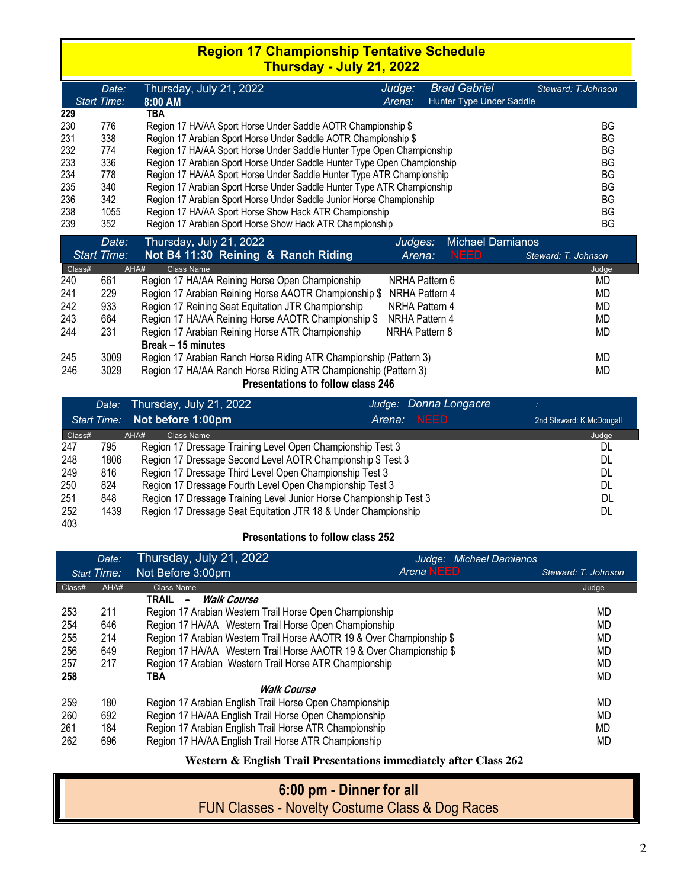## **Region 17 Championship Tentative Schedule Thursday - July 21, 2022**

|     | Date:              | Thursday, July 21, 2022                                                  | Judge: | <b>Brad Gabriel</b>      | Steward: T.Johnson |
|-----|--------------------|--------------------------------------------------------------------------|--------|--------------------------|--------------------|
|     | <b>Start Time:</b> | $8:00$ AM                                                                | Arena: | Hunter Type Under Saddle |                    |
| 229 |                    | TBA                                                                      |        |                          |                    |
| 230 | 776                | Region 17 HA/AA Sport Horse Under Saddle AOTR Championship \$            |        |                          | ΒG                 |
| 231 | 338                | Region 17 Arabian Sport Horse Under Saddle AOTR Championship \$          |        |                          | ΒG                 |
| 232 | 774                | Region 17 HA/AA Sport Horse Under Saddle Hunter Type Open Championship   |        |                          | ΒG                 |
| 233 | 336                | Region 17 Arabian Sport Horse Under Saddle Hunter Type Open Championship |        |                          | ΒG                 |
| 234 | 778                | Region 17 HA/AA Sport Horse Under Saddle Hunter Type ATR Championship    |        |                          | ΒG                 |
| 235 | 340                | Region 17 Arabian Sport Horse Under Saddle Hunter Type ATR Championship  |        |                          | ΒG                 |
| 236 | 342                | Region 17 Arabian Sport Horse Under Saddle Junior Horse Championship     |        |                          | ΒG                 |
| 238 | 1055               | Region 17 HA/AA Sport Horse Show Hack ATR Championship                   |        |                          | ΒG                 |
| 239 | 352                | Region 17 Arabian Sport Horse Show Hack ATR Championship                 |        |                          | ΒG                 |

|        | Date:              | Thursday, July 21, 2022                                           | Judges:        | <b>Michael Damianos</b> |                     |
|--------|--------------------|-------------------------------------------------------------------|----------------|-------------------------|---------------------|
|        | <b>Start Time:</b> | Not B4 11:30 Reining & Ranch Riding                               | Arena:         | <b>NEED</b>             | Steward: T. Johnson |
| Class# | AHA#               | Class Name                                                        |                |                         | Judge               |
| 240    | 661                | Region 17 HA/AA Reining Horse Open Championship                   | NRHA Pattern 6 |                         | MD                  |
| 241    | 229                | Region 17 Arabian Reining Horse AAOTR Championship \$             | NRHA Pattern 4 |                         | MD                  |
| 242    | 933                | Region 17 Reining Seat Equitation JTR Championship                | NRHA Pattern 4 |                         | MD                  |
| 243    | 664                | Region 17 HA/AA Reining Horse AAOTR Championship \$               | NRHA Pattern 4 |                         | MD                  |
| 244    | 231                | Region 17 Arabian Reining Horse ATR Championship                  | NRHA Pattern 8 |                         | MD                  |
|        |                    | Break - 15 minutes                                                |                |                         |                     |
| 245    | 3009               | Region 17 Arabian Ranch Horse Riding ATR Championship (Pattern 3) |                |                         | MD                  |
| 246    | 3029               | Region 17 HA/AA Ranch Horse Riding ATR Championship (Pattern 3)   |                |                         | MD                  |
|        |                    | Presentations to follow class 246                                 |                |                         |                     |

|        |      | Date: Thursday, July 21, 2022                                      | Judge: Donna Longacre |                          |
|--------|------|--------------------------------------------------------------------|-----------------------|--------------------------|
|        |      | Start Time: Not before 1:00pm                                      | <b>NEED</b><br>Arena: | 2nd Steward: K.McDougall |
| Class# |      | AHA#<br>Class Name                                                 |                       | Judge                    |
| 247    | 795  | Region 17 Dressage Training Level Open Championship Test 3         |                       | DL                       |
| 248    | 1806 | Region 17 Dressage Second Level AOTR Championship \$ Test 3        |                       | DL                       |
| 249    | 816  | Region 17 Dressage Third Level Open Championship Test 3            |                       | DL                       |
| 250    | 824  | Region 17 Dressage Fourth Level Open Championship Test 3           |                       | DL                       |
| 251    | 848  | Region 17 Dressage Training Level Junior Horse Championship Test 3 |                       | DL                       |
| 252    | 1439 | Region 17 Dressage Seat Equitation JTR 18 & Under Championship     |                       | DL                       |
| 403    |      |                                                                    |                       |                          |

#### **Presentations to follow class 252**

|        | Date:              | Thursday, July 21, 2022                                               | Judge: Michael Damianos |                     |
|--------|--------------------|-----------------------------------------------------------------------|-------------------------|---------------------|
|        | <b>Start Time:</b> | Not Before 3:00pm                                                     | <b>Arena NEED</b>       | Steward: T. Johnson |
| Class# | AHA#               | Class Name                                                            |                         | Judge               |
|        |                    | <b>Walk Course</b><br>TRAIL -                                         |                         |                     |
| 253    | 211                | Region 17 Arabian Western Trail Horse Open Championship               |                         | MD                  |
| 254    | 646                | Region 17 HA/AA Western Trail Horse Open Championship                 |                         | MD                  |
| 255    | 214                | Region 17 Arabian Western Trail Horse AAOTR 19 & Over Championship \$ |                         | MD                  |
| 256    | 649                | Region 17 HA/AA Western Trail Horse AAOTR 19 & Over Championship \$   |                         | <b>MD</b>           |
| 257    | 217                | Region 17 Arabian Western Trail Horse ATR Championship                |                         | <b>MD</b>           |
| 258    |                    | TBA                                                                   |                         | MD                  |
|        |                    | <b>Walk Course</b>                                                    |                         |                     |
| 259    | 180                | Region 17 Arabian English Trail Horse Open Championship               |                         | <b>MD</b>           |
| 260    | 692                | Region 17 HA/AA English Trail Horse Open Championship                 |                         | MD                  |
| 261    | 184                | Region 17 Arabian English Trail Horse ATR Championship                |                         | <b>MD</b>           |
| 262    | 696                | Region 17 HA/AA English Trail Horse ATR Championship                  |                         | <b>MD</b>           |
|        |                    |                                                                       | $\sim$ $\sim$           |                     |

#### **Western & English Trail Presentations immediately after Class 262**

# **6:00 pm - Dinner for all**  FUN Classes - Novelty Costume Class & Dog Races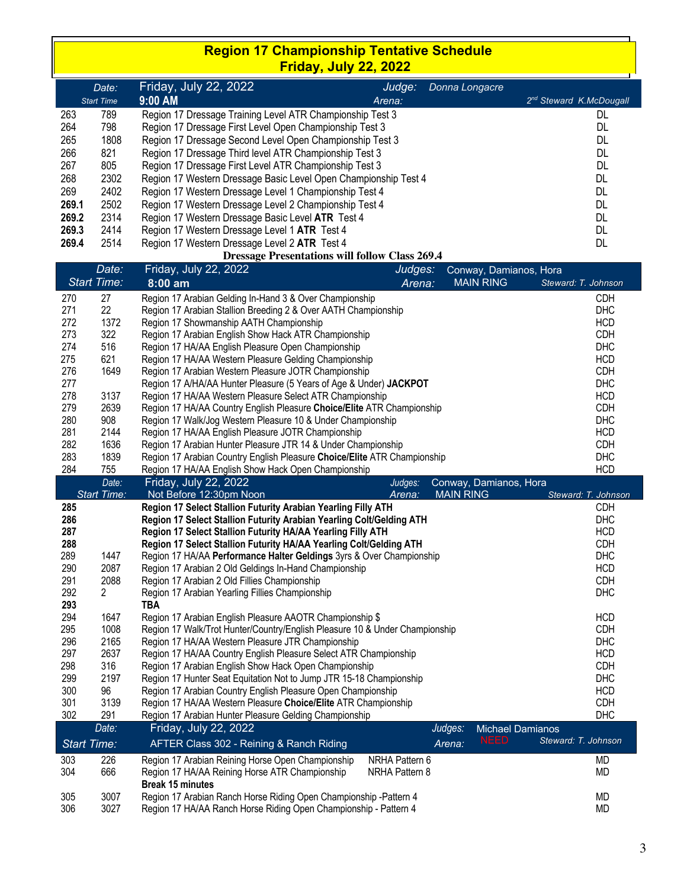### **Region 17 Championship Tentative Schedule Friday, July 22, 2022**

|       | Date:             | Friday, July 22, 2022                                           | Judge: | Donna Longacre |                                     |
|-------|-------------------|-----------------------------------------------------------------|--------|----------------|-------------------------------------|
|       | <b>Start Time</b> | $9:00$ AM                                                       | Arena: |                | 2 <sup>nd</sup> Steward K.McDougall |
| 263   | 789               | Region 17 Dressage Training Level ATR Championship Test 3       |        |                | DL                                  |
| 264   | 798               | Region 17 Dressage First Level Open Championship Test 3         |        |                | DL                                  |
| 265   | 1808              | Region 17 Dressage Second Level Open Championship Test 3        |        |                | DL                                  |
| 266   | 821               | Region 17 Dressage Third level ATR Championship Test 3          |        |                | DL                                  |
| 267   | 805               | Region 17 Dressage First Level ATR Championship Test 3          |        |                | DL                                  |
| 268   | 2302              | Region 17 Western Dressage Basic Level Open Championship Test 4 |        |                | DL                                  |
| 269   | 2402              | Region 17 Western Dressage Level 1 Championship Test 4          |        |                | DL                                  |
| 269.1 | 2502              | Region 17 Western Dressage Level 2 Championship Test 4          |        |                | DL                                  |
| 269.2 | 2314              | Region 17 Western Dressage Basic Level ATR Test 4               |        |                | DL                                  |
| 269.3 | 2414              | Region 17 Western Dressage Level 1 ATR Test 4                   |        |                | DL                                  |
| 269.4 | 2514              | Region 17 Western Dressage Level 2 ATR Test 4                   |        |                | DL                                  |

#### **Dressage Presentations will follow Class 269.4**

|             |                             | Dressage Fresentations will follow Class 209.4                              |                |                                            |                     |
|-------------|-----------------------------|-----------------------------------------------------------------------------|----------------|--------------------------------------------|---------------------|
|             | Date:                       | Friday, July 22, 2022                                                       | Judges:        | Conway, Damianos, Hora                     |                     |
|             | <b>Start Time:</b>          | $8:00$ am                                                                   | Arena:         | <b>MAIN RING</b>                           | Steward: T. Johnson |
| 270         | 27                          | Region 17 Arabian Gelding In-Hand 3 & Over Championship                     |                |                                            | CDH                 |
| 271         | 22                          | Region 17 Arabian Stallion Breeding 2 & Over AATH Championship              |                |                                            | DHC                 |
| 272         | 1372                        | Region 17 Showmanship AATH Championship                                     |                |                                            | <b>HCD</b>          |
| 273         | 322                         | Region 17 Arabian English Show Hack ATR Championship                        |                |                                            | <b>CDH</b>          |
| 274         | 516                         | Region 17 HA/AA English Pleasure Open Championship                          |                |                                            | <b>DHC</b>          |
| 275         | 621                         | Region 17 HA/AA Western Pleasure Gelding Championship                       |                |                                            | <b>HCD</b>          |
| 276         | 1649                        | Region 17 Arabian Western Pleasure JOTR Championship                        |                |                                            | <b>CDH</b>          |
| 277         |                             | Region 17 A/HA/AA Hunter Pleasure (5 Years of Age & Under) JACKPOT          |                |                                            | <b>DHC</b>          |
| 278         | 3137                        | Region 17 HA/AA Western Pleasure Select ATR Championship                    |                |                                            | <b>HCD</b>          |
| 279         | 2639                        | Region 17 HA/AA Country English Pleasure Choice/Elite ATR Championship      |                |                                            | CDH                 |
| 280         | 908                         | Region 17 Walk/Jog Western Pleasure 10 & Under Championship                 |                |                                            | <b>DHC</b>          |
| 281         | 2144                        | Region 17 HA/AA English Pleasure JOTR Championship                          |                |                                            | <b>HCD</b>          |
| 282         | 1636                        | Region 17 Arabian Hunter Pleasure JTR 14 & Under Championship               |                |                                            | <b>CDH</b>          |
| 283         | 1839                        | Region 17 Arabian Country English Pleasure Choice/Elite ATR Championship    |                |                                            | <b>DHC</b>          |
| 284         | 755                         | Region 17 HA/AA English Show Hack Open Championship                         |                |                                            | <b>HCD</b>          |
|             |                             |                                                                             |                |                                            |                     |
|             | Date:<br><b>Start Time:</b> | Friday, July 22, 2022<br>Not Before 12:30pm Noon                            | Judges:        | Conway, Damianos, Hora<br><b>MAIN RING</b> |                     |
|             |                             |                                                                             | Arena:         |                                            | Steward: T. Johnson |
| 285         |                             | Region 17 Select Stallion Futurity Arabian Yearling Filly ATH               |                |                                            | CDH                 |
| 286         |                             | Region 17 Select Stallion Futurity Arabian Yearling Colt/Gelding ATH        |                |                                            | DHC                 |
| 287         |                             | Region 17 Select Stallion Futurity HA/AA Yearling Filly ATH                 |                |                                            | <b>HCD</b>          |
| 288         |                             | Region 17 Select Stallion Futurity HA/AA Yearling Colt/Gelding ATH          |                |                                            | CDH                 |
| 289         | 1447                        | Region 17 HA/AA Performance Halter Geldings 3yrs & Over Championship        |                |                                            | <b>DHC</b>          |
| 290         | 2087                        | Region 17 Arabian 2 Old Geldings In-Hand Championship                       |                |                                            | <b>HCD</b>          |
| 291         | 2088                        | Region 17 Arabian 2 Old Fillies Championship                                |                |                                            | <b>CDH</b>          |
| 292         | $\overline{2}$              | Region 17 Arabian Yearling Fillies Championship                             |                |                                            | DHC                 |
| 293         |                             | TBA                                                                         |                |                                            |                     |
| 294         | 1647                        | Region 17 Arabian English Pleasure AAOTR Championship \$                    |                |                                            | <b>HCD</b>          |
| 295         | 1008                        | Region 17 Walk/Trot Hunter/Country/English Pleasure 10 & Under Championship |                |                                            | <b>CDH</b>          |
| 296         | 2165                        | Region 17 HA/AA Western Pleasure JTR Championship                           |                |                                            | DHC                 |
| 297         | 2637                        | Region 17 HA/AA Country English Pleasure Select ATR Championship            |                |                                            | <b>HCD</b>          |
| 298         | 316                         | Region 17 Arabian English Show Hack Open Championship                       |                |                                            | CDH                 |
| 299         | 2197                        | Region 17 Hunter Seat Equitation Not to Jump JTR 15-18 Championship         |                |                                            | <b>DHC</b>          |
| 300         | 96                          | Region 17 Arabian Country English Pleasure Open Championship                |                |                                            | <b>HCD</b>          |
| 301         | 3139                        | Region 17 HA/AA Western Pleasure Choice/Elite ATR Championship              |                |                                            | CDH                 |
| 302         | 291                         | Region 17 Arabian Hunter Pleasure Gelding Championship                      |                |                                            | DHC                 |
|             | Date:                       | Friday, July 22, 2022                                                       |                | Judges:<br><b>Michael Damianos</b>         |                     |
| Start Time: |                             | AFTER Class 302 - Reining & Ranch Riding                                    |                | <b>NEED</b><br>Arena:                      | Steward: T. Johnson |
| 303         | 226                         | Region 17 Arabian Reining Horse Open Championship                           | NRHA Pattern 6 |                                            | MD                  |
| 304         | 666                         | Region 17 HA/AA Reining Horse ATR Championship                              | NRHA Pattern 8 |                                            | <b>MD</b>           |
|             |                             | <b>Break 15 minutes</b>                                                     |                |                                            |                     |
| 305         | 3007                        | Region 17 Arabian Ranch Horse Riding Open Championship -Pattern 4           |                |                                            | МD                  |
| 306         | 3027                        | Region 17 HA/AA Ranch Horse Riding Open Championship - Pattern 4            |                |                                            | <b>MD</b>           |
|             |                             |                                                                             |                |                                            |                     |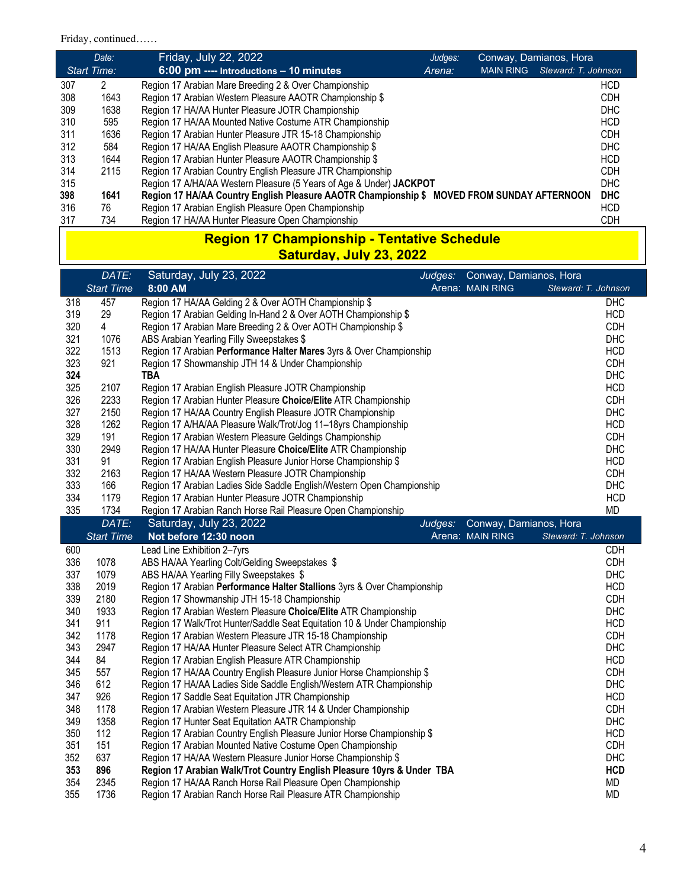## Friday, continued……

|     | Date:              | Friday, July 22, 2022<br>Conway, Damianos, Hora<br>Judges:                                      |            |
|-----|--------------------|-------------------------------------------------------------------------------------------------|------------|
|     | <b>Start Time:</b> | Steward: T. Johnson<br>$6:00$ pm ---- Introductions $-10$ minutes<br><b>MAIN RING</b><br>Arena: |            |
| 307 | 2                  | Region 17 Arabian Mare Breeding 2 & Over Championship                                           | <b>HCD</b> |
| 308 | 1643               | Region 17 Arabian Western Pleasure AAOTR Championship \$                                        | <b>CDH</b> |
| 309 | 1638               | Region 17 HA/AA Hunter Pleasure JOTR Championship                                               | <b>DHC</b> |
| 310 | 595                | Region 17 HA/AA Mounted Native Costume ATR Championship                                         | <b>HCD</b> |
| 311 | 1636               | Region 17 Arabian Hunter Pleasure JTR 15-18 Championship                                        | <b>CDH</b> |
| 312 | 584                | Region 17 HA/AA English Pleasure AAOTR Championship \$                                          | <b>DHC</b> |
| 313 | 1644               | Region 17 Arabian Hunter Pleasure AAOTR Championship \$                                         | <b>HCD</b> |
| 314 | 2115               | Region 17 Arabian Country English Pleasure JTR Championship                                     | <b>CDH</b> |
| 315 |                    | Region 17 A/HA/AA Western Pleasure (5 Years of Age & Under) JACKPOT                             | <b>DHC</b> |
| 398 | 1641               | Region 17 HA/AA Country English Pleasure AAOTR Championship \$ MOVED FROM SUNDAY AFTERNOON      | <b>DHC</b> |
| 316 | 76                 | Region 17 Arabian English Pleasure Open Championship                                            | <b>HCD</b> |
| 317 | 734                | Region 17 HA/AA Hunter Pleasure Open Championship                                               | <b>CDH</b> |

### **Region 17 Championship - Tentative Schedule Saturday, July 23, 2022**

|     | DATE:             | Saturday, July 23, 2022                                                   | Judges: | Conway, Damianos, Hora |                     |
|-----|-------------------|---------------------------------------------------------------------------|---------|------------------------|---------------------|
|     | <b>Start Time</b> | 8:00 AM                                                                   |         | Arena: MAIN RING       | Steward: T. Johnson |
| 318 | 457               | Region 17 HA/AA Gelding 2 & Over AOTH Championship \$                     |         |                        | DHC                 |
| 319 | 29                | Region 17 Arabian Gelding In-Hand 2 & Over AOTH Championship \$           |         |                        | <b>HCD</b>          |
| 320 | 4                 | Region 17 Arabian Mare Breeding 2 & Over AOTH Championship \$             |         |                        | CDH                 |
| 321 | 1076              | ABS Arabian Yearling Filly Sweepstakes \$                                 |         |                        | <b>DHC</b>          |
| 322 | 1513              | Region 17 Arabian Performance Halter Mares 3yrs & Over Championship       |         |                        | <b>HCD</b>          |
| 323 | 921               | Region 17 Showmanship JTH 14 & Under Championship                         |         |                        | CDH                 |
| 324 |                   | <b>TBA</b>                                                                |         |                        | <b>DHC</b>          |
| 325 | 2107              | Region 17 Arabian English Pleasure JOTR Championship                      |         |                        | <b>HCD</b>          |
| 326 | 2233              | Region 17 Arabian Hunter Pleasure Choice/Elite ATR Championship           |         |                        | <b>CDH</b>          |
| 327 | 2150              | Region 17 HA/AA Country English Pleasure JOTR Championship                |         |                        | <b>DHC</b>          |
| 328 | 1262              | Region 17 A/HA/AA Pleasure Walk/Trot/Jog 11-18yrs Championship            |         |                        | <b>HCD</b>          |
| 329 | 191               | Region 17 Arabian Western Pleasure Geldings Championship                  |         |                        | <b>CDH</b>          |
| 330 | 2949              | Region 17 HA/AA Hunter Pleasure Choice/Elite ATR Championship             |         |                        | DHC                 |
| 331 | 91                | Region 17 Arabian English Pleasure Junior Horse Championship \$           |         |                        | <b>HCD</b>          |
| 332 | 2163              | Region 17 HA/AA Western Pleasure JOTR Championship                        |         |                        | CDH                 |
| 333 | 166               | Region 17 Arabian Ladies Side Saddle English/Western Open Championship    |         |                        | DHC                 |
| 334 | 1179              | Region 17 Arabian Hunter Pleasure JOTR Championship                       |         |                        | <b>HCD</b>          |
| 335 | 1734              | Region 17 Arabian Ranch Horse Rail Pleasure Open Championship             |         |                        | <b>MD</b>           |
|     | DATE:             | Saturday, July 23, 2022                                                   | Judges: | Conway, Damianos, Hora |                     |
|     | <b>Start Time</b> | Not before 12:30 noon                                                     |         | Arena: MAIN RING       | Steward: T. Johnson |
| 600 |                   | Lead Line Exhibition 2-7yrs                                               |         |                        | <b>CDH</b>          |
| 336 | 1078              | ABS HA/AA Yearling Colt/Gelding Sweepstakes \$                            |         |                        | CDH                 |
| 337 | 1079              | ABS HA/AA Yearling Filly Sweepstakes \$                                   |         |                        | DHC                 |
| 338 | 2019              | Region 17 Arabian Performance Halter Stallions 3yrs & Over Championship   |         |                        | <b>HCD</b>          |
| 339 | 2180              | Region 17 Showmanship JTH 15-18 Championship                              |         |                        | CDH                 |
| 340 | 1933              | Region 17 Arabian Western Pleasure Choice/Elite ATR Championship          |         |                        | DHC                 |
| 341 | 911               | Region 17 Walk/Trot Hunter/Saddle Seat Equitation 10 & Under Championship |         |                        | <b>HCD</b>          |
| 342 | 1178              | Region 17 Arabian Western Pleasure JTR 15-18 Championship                 |         |                        | CDH                 |
| 343 | 2947              | Region 17 HA/AA Hunter Pleasure Select ATR Championship                   |         |                        | <b>DHC</b>          |
| 344 | 84                | Region 17 Arabian English Pleasure ATR Championship                       |         |                        | <b>HCD</b>          |
| 345 | 557               | Region 17 HA/AA Country English Pleasure Junior Horse Championship \$     |         |                        | CDH                 |
| 346 | 612               | Region 17 HA/AA Ladies Side Saddle English/Western ATR Championship       |         |                        | DHC                 |
| 347 | 926               | Region 17 Saddle Seat Equitation JTR Championship                         |         |                        | <b>HCD</b>          |
| 348 | 1178              | Region 17 Arabian Western Pleasure JTR 14 & Under Championship            |         |                        | CDH                 |
| 349 | 1358              | Region 17 Hunter Seat Equitation AATR Championship                        |         |                        | <b>DHC</b>          |
| 350 | 112               | Region 17 Arabian Country English Pleasure Junior Horse Championship \$   |         |                        | <b>HCD</b>          |
| 351 | 151               | Region 17 Arabian Mounted Native Costume Open Championship                |         |                        | <b>CDH</b>          |
| 352 | 637               | Region 17 HA/AA Western Pleasure Junior Horse Championship \$             |         |                        | <b>DHC</b>          |
| 353 | 896               | Region 17 Arabian Walk/Trot Country English Pleasure 10yrs & Under TBA    |         |                        | <b>HCD</b>          |
| 354 | 2345              | Region 17 HA/AA Ranch Horse Rail Pleasure Open Championship               |         |                        | <b>MD</b>           |
| 355 | 1736              | Region 17 Arabian Ranch Horse Rail Pleasure ATR Championship              |         |                        | <b>MD</b>           |